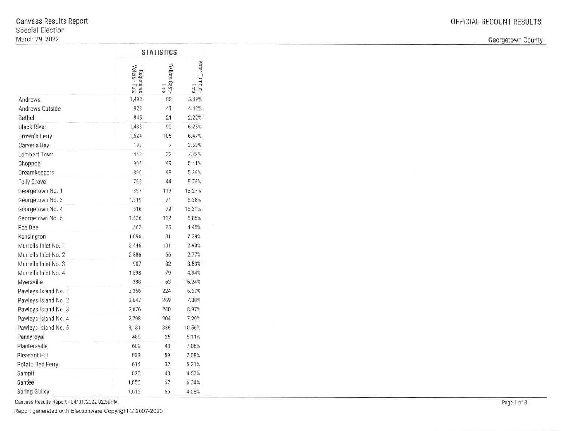Georgetown County

|                      | <b>STATISTICS</b>            |                                  |                          |  |
|----------------------|------------------------------|----------------------------------|--------------------------|--|
|                      | Voters - Total<br>Registered | <b>Ballots</b><br>Cast-<br>Total | Voter Turnout -<br>letal |  |
| Andrews              | 1,493                        | 82                               | 5.49%                    |  |
| Andrews Outside      | 928                          | 41                               | 4.42%                    |  |
| Bethel               | 945                          | 21                               | 2.22%                    |  |
| <b>Black River</b>   | 1,488                        | 93                               | 6.25%                    |  |
| Brown's Ferry        | 1,624                        | 105                              | 6.47%                    |  |
| Carver's Bay         | 193                          | 7                                | 3.63%                    |  |
| Lambert Town         | 443                          | 32                               | 7.22%                    |  |
| Choppee              | 906                          | 49                               | 5.41%                    |  |
| Dreamkeepers         | 890                          | 48                               | 5.39%                    |  |
| <b>Folly Grove</b>   | 765                          | 44                               | 5.75%                    |  |
| Georgetown No. 1     | 897                          | 119                              | 13.27%                   |  |
| Georgetown No. 3     | 1,319                        | 71                               | 5.38%                    |  |
| Georgetown No. 4     | 516                          | 79                               | 15.31%                   |  |
| Georgetown No. 5     | 1,636                        | 112                              | 6.85%                    |  |
| Pee Dee              | 562                          | 25                               | 4.45%                    |  |
| Kensington           | 1,096                        | 81                               | 7.39%                    |  |
| Murrells Inlet No. 1 | 3,446                        | 101                              | 2.93%                    |  |
| Murrells Inlet No. 2 | 2,386                        | 66                               | 2.77%                    |  |
| Murrells Inlet No. 3 | 907                          | 32                               | 3.53%                    |  |
| Murrells Inlet No. 4 | 1,598                        | 79                               | 4.94%                    |  |
| Myersville           | 388                          | 63                               | 16.24%                   |  |
| Pawleys Island No. 1 | 3,356                        | 224                              | 6.67%                    |  |
| Pawleys Island No. 2 | 3,647                        | 269                              | 7.38%                    |  |
| Pawleys Island No. 3 | 2,676                        | 240                              | 8.97%                    |  |
| Pawleys Island No. 4 | 2,798                        | 204                              | 7.29%                    |  |
| Pawleys Island No. 5 | 3,181                        | 336                              | 10.56%                   |  |
| Pennyroyal           | 489                          | 25                               | 5.11%                    |  |
| Plantersville        | 609                          | 43                               | 7.06%                    |  |
| Pleasant Hill        | 833                          | 59                               | 7.08%                    |  |
| Potato Bed Ferry     | 614                          | 32                               | 5.21%                    |  |
| Sampit               | 875                          | 40                               | 4.57%                    |  |
| Santee               | 1,056                        | 67                               | 6.34%                    |  |
| <b>Spring Gulley</b> | 1,616                        | 66                               | 4.08%                    |  |

Canvass Results Report - 04/01/2022 02:59PM

Report generated with Electionware Copyright @ 2007-2020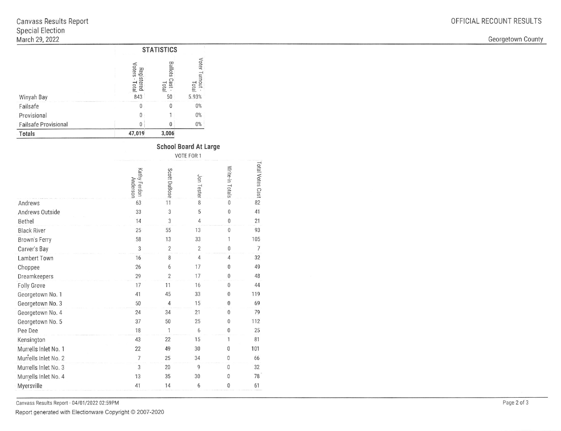Georgetown County

|                             | <b>STATISTICS</b>                                |                                      |                                |  |
|-----------------------------|--------------------------------------------------|--------------------------------------|--------------------------------|--|
| Winyah Bay                  | Regi<br>Voters<br>Istered<br><b>Total</b><br>843 | <b>Ballots</b><br>1257<br>Tota<br>50 | Voter Turnout<br>Tota<br>5.93% |  |
| Failsafe                    | 0                                                | 0                                    | $0\%$                          |  |
| Provisional                 | 0                                                |                                      | $0\%$                          |  |
| <b>Failsafe Provisional</b> | 0                                                | 0                                    | $0\%$                          |  |
| Totals                      | 47,019                                           | 3,006                                |                                |  |

| <b>School Board At Large</b> |            |  |
|------------------------------|------------|--|
|                              | 110TTFF001 |  |

|                      |                                 | VOIE FOR T     |                |                 |                    |  |
|----------------------|---------------------------------|----------------|----------------|-----------------|--------------------|--|
|                      | Kathy Ferdon<br><b>Anderson</b> | Scott DuBose   | Jon Tester     | Write-in Totals | Total Votes Cast & |  |
| Andrews              | 63                              | 11             | 8              | 0               |                    |  |
| Andrews Outside      | 33                              | 3              | 5              | 0               | 41                 |  |
| Bethel               | 14                              | 3              | $\overline{4}$ | $\bf{0}$        | 21                 |  |
| <b>Black River</b>   | 25                              | 55             | 13             | $\mathbf 0$     | 93                 |  |
| Brown's Ferry        | 58                              | 13             | 33             | 1               | 105                |  |
| Carver's Bay         | 3                               | $\overline{2}$ | $\overline{2}$ | $\mathbf 0$     | $\overline{7}$     |  |
| Lambert Town         | 16                              | 8              | $\overline{4}$ | $\overline{4}$  | 32                 |  |
| Choppee              | 26                              | 6              | 17             | $\mathbf{0}$    | 49                 |  |
| Dreamkeepers         | 29                              | $\overline{2}$ | 17             | $\mathbf{0}$    | 48                 |  |
| Folly Grove          | 17                              | 11             | 16             | $\mathbf{0}$    | 44                 |  |
| Georgetown No. 1     | 41                              | 45             | 33             | 0               | 119                |  |
| Georgetown No. 3     | 50                              | $\overline{4}$ | 15             | $\bf{0}$        | 69                 |  |
| Georgetown No. 4     | 24                              | 34             | 21             | $\mathbf{0}$    | 79                 |  |
| Georgetown No. 5     | 37                              | 50             | 25             | $\overline{0}$  | 112                |  |
| Pee Dee              | 18                              | $\mathbf{1}$   | 6              | $\mathbf 0$     | 25                 |  |
| Kensington           | 43                              | 22             | 15             | 1               | 81                 |  |
| Murrells Inlet No. 1 | 22                              | 49             | 30             | $\mathbf{0}$    | 101                |  |
| Murrells Inlet No. 2 | $\overline{7}$                  | 25             | 34             | $\mathbf{0}$    | 66                 |  |
| Murrells Inlet No. 3 | 3                               | 20             | 9              | $\mathbf{0}$    | 32                 |  |
| Murrells Inlet No. 4 | 13                              | 35             | 30             | $\mathbf{0}$    | 78                 |  |
| Myersville           | 41                              | 14             | 6              | $\mathbf{0}$    | 61                 |  |
|                      |                                 |                |                |                 |                    |  |